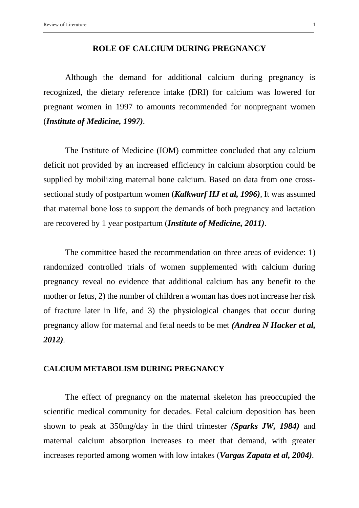## **ROLE OF CALCIUM DURING PREGNANCY**

Although the demand for additional calcium during pregnancy is recognized, the dietary reference intake (DRI) for calcium was lowered for pregnant women in 1997 to amounts recommended for nonpregnant women (*Institute of Medicine, 1997).*

The Institute of Medicine (IOM) committee concluded that any calcium deficit not provided by an increased efficiency in calcium absorption could be supplied by mobilizing maternal bone calcium. Based on data from one crosssectional study of postpartum women (*Kalkwarf HJ et al, 1996),* It was assumed that maternal bone loss to support the demands of both pregnancy and lactation are recovered by 1 year postpartum (*Institute of Medicine, 2011).*

The committee based the recommendation on three areas of evidence: 1) randomized controlled trials of women supplemented with calcium during pregnancy reveal no evidence that additional calcium has any benefit to the mother or fetus, 2) the number of children a woman has does not increase her risk of fracture later in life, and 3) the physiological changes that occur during pregnancy allow for maternal and fetal needs to be met *(Andrea N Hacker et al, 2012).*

# **CALCIUM METABOLISM DURING PREGNANCY**

The effect of pregnancy on the maternal skeleton has preoccupied the scientific medical community for decades. Fetal calcium deposition has been shown to peak at 350mg/day in the third trimester *(Sparks JW, 1984)* and maternal calcium absorption increases to meet that demand, with greater increases reported among women with low intakes (*Vargas Zapata et al, 2004).*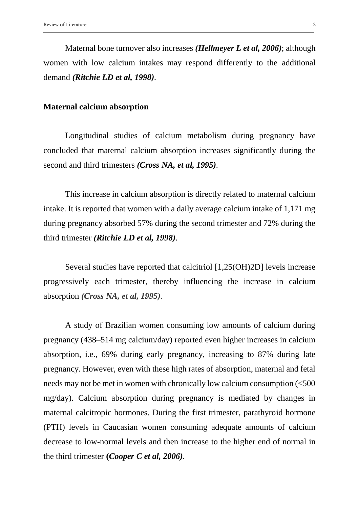Maternal bone turnover also increases *(Hellmeyer L et al, 2006)*; although women with low calcium intakes may respond differently to the additional demand *(Ritchie LD et al, 1998).*

#### **Maternal calcium absorption**

Longitudinal studies of calcium metabolism during pregnancy have concluded that maternal calcium absorption increases significantly during the second and third trimesters *(Cross NA, et al, 1995).*

This increase in calcium absorption is directly related to maternal calcium intake. It is reported that women with a daily average calcium intake of 1,171 mg during pregnancy absorbed 57% during the second trimester and 72% during the third trimester *(Ritchie LD et al, 1998).*

Several studies have reported that calcitriol [1,25(OH)2D] levels increase progressively each trimester, thereby influencing the increase in calcium absorption *(Cross NA, et al, 1995).*

A study of Brazilian women consuming low amounts of calcium during pregnancy (438–514 mg calcium/day) reported even higher increases in calcium absorption, i.e., 69% during early pregnancy, increasing to 87% during late pregnancy. However, even with these high rates of absorption, maternal and fetal needs may not be met in women with chronically low calcium consumption (<500 mg/day). Calcium absorption during pregnancy is mediated by changes in maternal calcitropic hormones. During the first trimester, parathyroid hormone (PTH) levels in Caucasian women consuming adequate amounts of calcium decrease to low-normal levels and then increase to the higher end of normal in the third trimester **(***Cooper C et al, 2006).*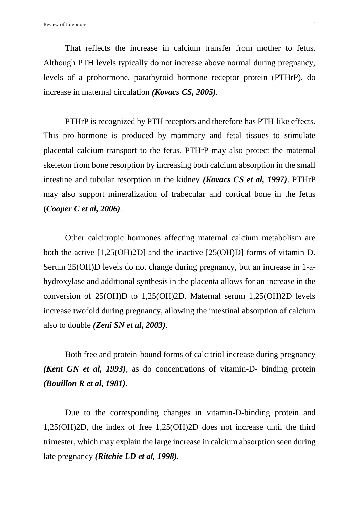That reflects the increase in calcium transfer from mother to fetus. Although PTH levels typically do not increase above normal during pregnancy, levels of a prohormone, parathyroid hormone receptor protein (PTHrP), do increase in maternal circulation *(Kovacs CS, 2005).*

PTHrP is recognized by PTH receptors and therefore has PTH-like effects. This pro-hormone is produced by mammary and fetal tissues to stimulate placental calcium transport to the fetus. PTHrP may also protect the maternal skeleton from bone resorption by increasing both calcium absorption in the small intestine and tubular resorption in the kidney *(Kovacs CS et al, 1997)*. PTHrP may also support mineralization of trabecular and cortical bone in the fetus **(***Cooper C et al, 2006).*

Other calcitropic hormones affecting maternal calcium metabolism are both the active [1,25(OH)2D] and the inactive [25(OH)D] forms of vitamin D. Serum 25(OH)D levels do not change during pregnancy, but an increase in 1-ahydroxylase and additional synthesis in the placenta allows for an increase in the conversion of 25(OH)D to 1,25(OH)2D. Maternal serum 1,25(OH)2D levels increase twofold during pregnancy, allowing the intestinal absorption of calcium also to double *(Zeni SN et al, 2003).*

Both free and protein-bound forms of calcitriol increase during pregnancy *(Kent GN et al, 1993),* as do concentrations of vitamin-D- binding protein *(Bouillon R et al, 1981).*

Due to the corresponding changes in vitamin-D-binding protein and 1,25(OH)2D, the index of free 1,25(OH)2D does not increase until the third trimester, which may explain the large increase in calcium absorption seen during late pregnancy *(Ritchie LD et al, 1998).*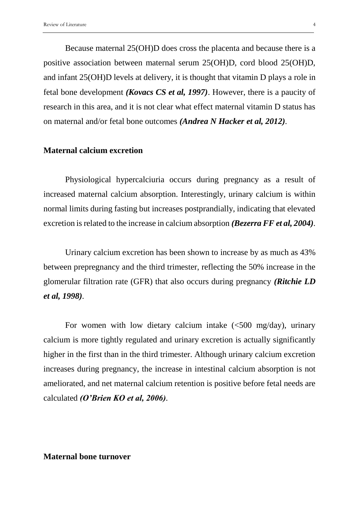Because maternal 25(OH)D does cross the placenta and because there is a positive association between maternal serum 25(OH)D, cord blood 25(OH)D, and infant 25(OH)D levels at delivery, it is thought that vitamin D plays a role in fetal bone development *(Kovacs CS et al, 1997)*. However, there is a paucity of research in this area, and it is not clear what effect maternal vitamin D status has on maternal and/or fetal bone outcomes *(Andrea N Hacker et al, 2012).*

# **Maternal calcium excretion**

Physiological hypercalciuria occurs during pregnancy as a result of increased maternal calcium absorption. Interestingly, urinary calcium is within normal limits during fasting but increases postprandially, indicating that elevated excretion is related to the increase in calcium absorption *(Bezerra FF et al, 2004).*

Urinary calcium excretion has been shown to increase by as much as 43% between prepregnancy and the third trimester, reflecting the 50% increase in the glomerular filtration rate (GFR) that also occurs during pregnancy *(Ritchie LD et al, 1998).*

For women with low dietary calcium intake  $\langle$  <500 mg/day), urinary calcium is more tightly regulated and urinary excretion is actually significantly higher in the first than in the third trimester. Although urinary calcium excretion increases during pregnancy, the increase in intestinal calcium absorption is not ameliorated, and net maternal calcium retention is positive before fetal needs are calculated *(O'Brien KO et al, 2006).*

# **Maternal bone turnover**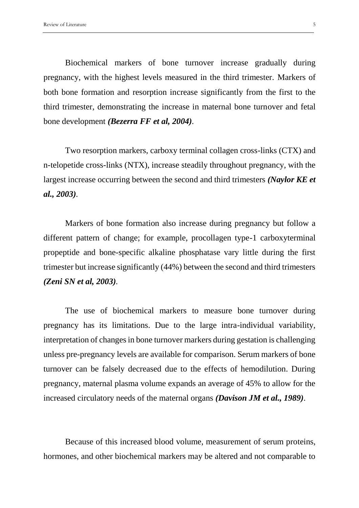Biochemical markers of bone turnover increase gradually during pregnancy, with the highest levels measured in the third trimester. Markers of both bone formation and resorption increase significantly from the first to the third trimester, demonstrating the increase in maternal bone turnover and fetal bone development *(Bezerra FF et al, 2004).*

Two resorption markers, carboxy terminal collagen cross-links (CTX) and n-telopetide cross-links (NTX), increase steadily throughout pregnancy, with the largest increase occurring between the second and third trimesters *(Naylor KE et al., 2003).*

Markers of bone formation also increase during pregnancy but follow a different pattern of change; for example, procollagen type-1 carboxyterminal propeptide and bone-specific alkaline phosphatase vary little during the first trimester but increase significantly (44%) between the second and third trimesters *(Zeni SN et al, 2003).*

The use of biochemical markers to measure bone turnover during pregnancy has its limitations. Due to the large intra-individual variability, interpretation of changes in bone turnover markers during gestation is challenging unless pre-pregnancy levels are available for comparison. Serum markers of bone turnover can be falsely decreased due to the effects of hemodilution. During pregnancy, maternal plasma volume expands an average of 45% to allow for the increased circulatory needs of the maternal organs *(Davison JM et al., 1989).*

Because of this increased blood volume, measurement of serum proteins, hormones, and other biochemical markers may be altered and not comparable to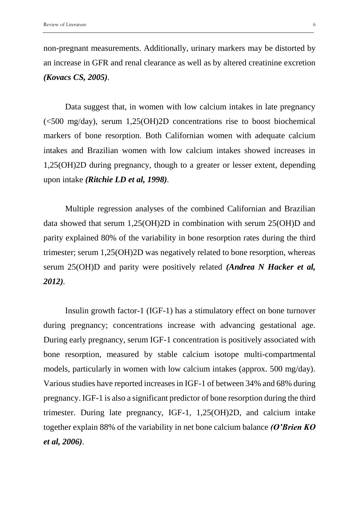non-pregnant measurements. Additionally, urinary markers may be distorted by an increase in GFR and renal clearance as well as by altered creatinine excretion *(Kovacs CS, 2005).*

Data suggest that, in women with low calcium intakes in late pregnancy (<500 mg/day), serum 1,25(OH)2D concentrations rise to boost biochemical markers of bone resorption. Both Californian women with adequate calcium intakes and Brazilian women with low calcium intakes showed increases in 1,25(OH)2D during pregnancy, though to a greater or lesser extent, depending upon intake *(Ritchie LD et al, 1998).*

Multiple regression analyses of the combined Californian and Brazilian data showed that serum 1,25(OH)2D in combination with serum 25(OH)D and parity explained 80% of the variability in bone resorption rates during the third trimester; serum 1,25(OH)2D was negatively related to bone resorption, whereas serum 25(OH)D and parity were positively related *(Andrea N Hacker et al, 2012).*

Insulin growth factor-1 (IGF-1) has a stimulatory effect on bone turnover during pregnancy; concentrations increase with advancing gestational age. During early pregnancy, serum IGF-1 concentration is positively associated with bone resorption, measured by stable calcium isotope multi-compartmental models, particularly in women with low calcium intakes (approx. 500 mg/day). Various studies have reported increases in IGF-1 of between 34% and 68% during pregnancy. IGF-1 is also a significant predictor of bone resorption during the third trimester. During late pregnancy, IGF-1, 1,25(OH)2D, and calcium intake together explain 88% of the variability in net bone calcium balance *(O'Brien KO et al, 2006).*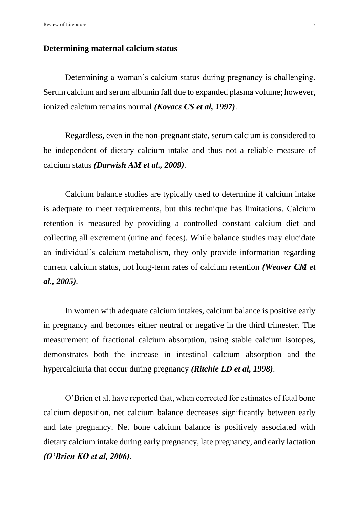### **Determining maternal calcium status**

Determining a woman's calcium status during pregnancy is challenging. Serum calcium and serum albumin fall due to expanded plasma volume; however, ionized calcium remains normal *(Kovacs CS et al, 1997)*.

Regardless, even in the non-pregnant state, serum calcium is considered to be independent of dietary calcium intake and thus not a reliable measure of calcium status *(Darwish AM et al., 2009).*

Calcium balance studies are typically used to determine if calcium intake is adequate to meet requirements, but this technique has limitations. Calcium retention is measured by providing a controlled constant calcium diet and collecting all excrement (urine and feces). While balance studies may elucidate an individual's calcium metabolism, they only provide information regarding current calcium status, not long-term rates of calcium retention *(Weaver CM et al., 2005).*

In women with adequate calcium intakes, calcium balance is positive early in pregnancy and becomes either neutral or negative in the third trimester. The measurement of fractional calcium absorption, using stable calcium isotopes, demonstrates both the increase in intestinal calcium absorption and the hypercalciuria that occur during pregnancy *(Ritchie LD et al, 1998).*

O'Brien et al. have reported that, when corrected for estimates of fetal bone calcium deposition, net calcium balance decreases significantly between early and late pregnancy. Net bone calcium balance is positively associated with dietary calcium intake during early pregnancy, late pregnancy, and early lactation *(O'Brien KO et al, 2006).*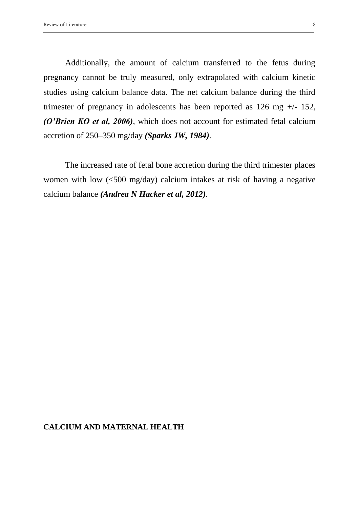Additionally, the amount of calcium transferred to the fetus during pregnancy cannot be truly measured, only extrapolated with calcium kinetic studies using calcium balance data. The net calcium balance during the third trimester of pregnancy in adolescents has been reported as  $126 \text{ mg } +/- 152$ , *(O'Brien KO et al, 2006),* which does not account for estimated fetal calcium accretion of 250–350 mg/day *(Sparks JW, 1984).*

The increased rate of fetal bone accretion during the third trimester places women with low (<500 mg/day) calcium intakes at risk of having a negative calcium balance *(Andrea N Hacker et al, 2012).*

# **CALCIUM AND MATERNAL HEALTH**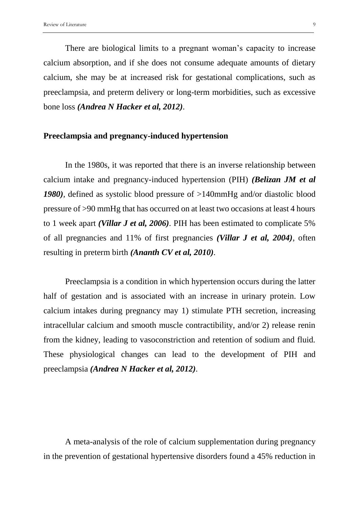There are biological limits to a pregnant woman's capacity to increase calcium absorption, and if she does not consume adequate amounts of dietary calcium, she may be at increased risk for gestational complications, such as preeclampsia, and preterm delivery or long-term morbidities, such as excessive bone loss *(Andrea N Hacker et al, 2012).*

## **Preeclampsia and pregnancy-induced hypertension**

In the 1980s, it was reported that there is an inverse relationship between calcium intake and pregnancy-induced hypertension (PIH) *(Belizan JM et al 1980),* defined as systolic blood pressure of >140mmHg and/or diastolic blood pressure of >90 mmHg that has occurred on at least two occasions at least 4 hours to 1 week apart *(Villar J et al, 2006).* PIH has been estimated to complicate 5% of all pregnancies and 11% of first pregnancies *(Villar J et al, 2004),* often resulting in preterm birth *(Ananth CV et al, 2010).* 

Preeclampsia is a condition in which hypertension occurs during the latter half of gestation and is associated with an increase in urinary protein. Low calcium intakes during pregnancy may 1) stimulate PTH secretion, increasing intracellular calcium and smooth muscle contractibility, and/or 2) release renin from the kidney, leading to vasoconstriction and retention of sodium and fluid. These physiological changes can lead to the development of PIH and preeclampsia *(Andrea N Hacker et al, 2012).*

A meta-analysis of the role of calcium supplementation during pregnancy in the prevention of gestational hypertensive disorders found a 45% reduction in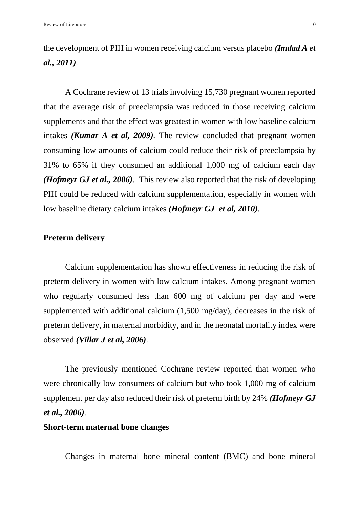the development of PIH in women receiving calcium versus placebo *(Imdad A et al., 2011).*

A Cochrane review of 13 trials involving 15,730 pregnant women reported that the average risk of preeclampsia was reduced in those receiving calcium supplements and that the effect was greatest in women with low baseline calcium intakes *(Kumar A et al, 2009).* The review concluded that pregnant women consuming low amounts of calcium could reduce their risk of preeclampsia by 31% to 65% if they consumed an additional 1,000 mg of calcium each day *(Hofmeyr GJ et al., 2006).* This review also reported that the risk of developing PIH could be reduced with calcium supplementation, especially in women with low baseline dietary calcium intakes *(Hofmeyr GJ et al, 2010)*.

# **Preterm delivery**

Calcium supplementation has shown effectiveness in reducing the risk of preterm delivery in women with low calcium intakes. Among pregnant women who regularly consumed less than 600 mg of calcium per day and were supplemented with additional calcium (1,500 mg/day), decreases in the risk of preterm delivery, in maternal morbidity, and in the neonatal mortality index were observed *(Villar J et al, 2006).*

The previously mentioned Cochrane review reported that women who were chronically low consumers of calcium but who took 1,000 mg of calcium supplement per day also reduced their risk of preterm birth by 24% *(Hofmeyr GJ et al., 2006).*

## **Short-term maternal bone changes**

Changes in maternal bone mineral content (BMC) and bone mineral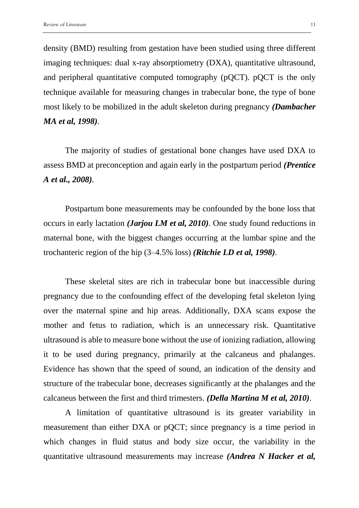density (BMD) resulting from gestation have been studied using three different imaging techniques: dual x-ray absorptiometry (DXA), quantitative ultrasound, and peripheral quantitative computed tomography (pQCT). pQCT is the only technique available for measuring changes in trabecular bone, the type of bone most likely to be mobilized in the adult skeleton during pregnancy *(Dambacher MA et al, 1998).*

The majority of studies of gestational bone changes have used DXA to assess BMD at preconception and again early in the postpartum period *(Prentice A et al., 2008).*

Postpartum bone measurements may be confounded by the bone loss that occurs in early lactation *(Jarjou LM et al, 2010).* One study found reductions in maternal bone, with the biggest changes occurring at the lumbar spine and the trochanteric region of the hip (3–4.5% loss) *(Ritchie LD et al, 1998).*

These skeletal sites are rich in trabecular bone but inaccessible during pregnancy due to the confounding effect of the developing fetal skeleton lying over the maternal spine and hip areas. Additionally, DXA scans expose the mother and fetus to radiation, which is an unnecessary risk. Quantitative ultrasound is able to measure bone without the use of ionizing radiation, allowing it to be used during pregnancy, primarily at the calcaneus and phalanges. Evidence has shown that the speed of sound, an indication of the density and structure of the trabecular bone, decreases significantly at the phalanges and the calcaneus between the first and third trimesters. *(Della Martina M et al, 2010).*

A limitation of quantitative ultrasound is its greater variability in measurement than either DXA or pQCT; since pregnancy is a time period in which changes in fluid status and body size occur, the variability in the quantitative ultrasound measurements may increase *(Andrea N Hacker et al,*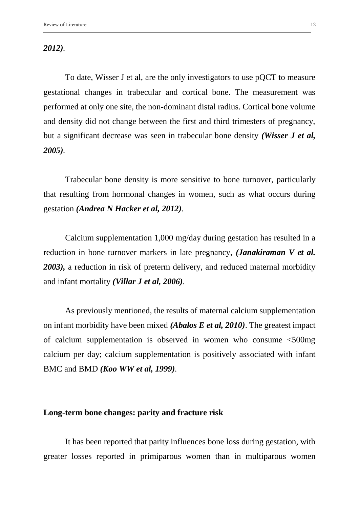*2012).*

To date, Wisser J et al, are the only investigators to use pQCT to measure gestational changes in trabecular and cortical bone. The measurement was performed at only one site, the non-dominant distal radius. Cortical bone volume and density did not change between the first and third trimesters of pregnancy, but a significant decrease was seen in trabecular bone density *(Wisser J et al, 2005).*

Trabecular bone density is more sensitive to bone turnover, particularly that resulting from hormonal changes in women, such as what occurs during gestation *(Andrea N Hacker et al, 2012).*

Calcium supplementation 1,000 mg/day during gestation has resulted in a reduction in bone turnover markers in late pregnancy, *(Janakiraman V et al. 2003),* a reduction in risk of preterm delivery, and reduced maternal morbidity and infant mortality *(Villar J et al, 2006).*

As previously mentioned, the results of maternal calcium supplementation on infant morbidity have been mixed *(Abalos E et al, 2010)*. The greatest impact of calcium supplementation is observed in women who consume <500mg calcium per day; calcium supplementation is positively associated with infant BMC and BMD *(Koo WW et al, 1999).*

## **Long-term bone changes: parity and fracture risk**

It has been reported that parity influences bone loss during gestation, with greater losses reported in primiparous women than in multiparous women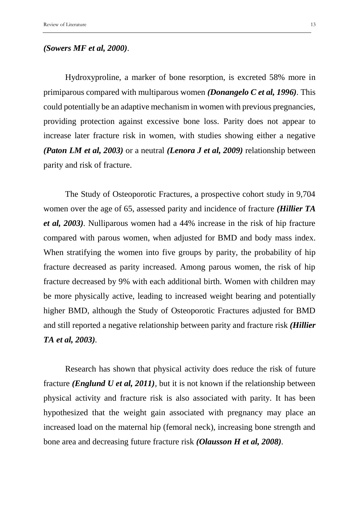#### *(Sowers MF et al, 2000).*

Hydroxyproline, a marker of bone resorption, is excreted 58% more in primiparous compared with multiparous women *(Donangelo C et al, 1996).* This could potentially be an adaptive mechanism in women with previous pregnancies, providing protection against excessive bone loss. Parity does not appear to increase later fracture risk in women, with studies showing either a negative *(Paton LM et al, 2003)* or a neutral *(Lenora J et al, 2009)* relationship between parity and risk of fracture.

The Study of Osteoporotic Fractures, a prospective cohort study in 9,704 women over the age of 65, assessed parity and incidence of fracture *(Hillier TA et al, 2003).* Nulliparous women had a 44% increase in the risk of hip fracture compared with parous women, when adjusted for BMD and body mass index. When stratifying the women into five groups by parity, the probability of hip fracture decreased as parity increased. Among parous women, the risk of hip fracture decreased by 9% with each additional birth. Women with children may be more physically active, leading to increased weight bearing and potentially higher BMD, although the Study of Osteoporotic Fractures adjusted for BMD and still reported a negative relationship between parity and fracture risk *(Hillier TA et al, 2003).*

Research has shown that physical activity does reduce the risk of future fracture *(Englund U et al, 2011),* but it is not known if the relationship between physical activity and fracture risk is also associated with parity. It has been hypothesized that the weight gain associated with pregnancy may place an increased load on the maternal hip (femoral neck), increasing bone strength and bone area and decreasing future fracture risk *(Olausson H et al, 2008).*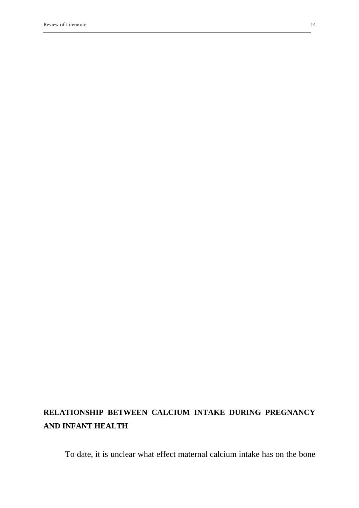# **RELATIONSHIP BETWEEN CALCIUM INTAKE DURING PREGNANCY AND INFANT HEALTH**

To date, it is unclear what effect maternal calcium intake has on the bone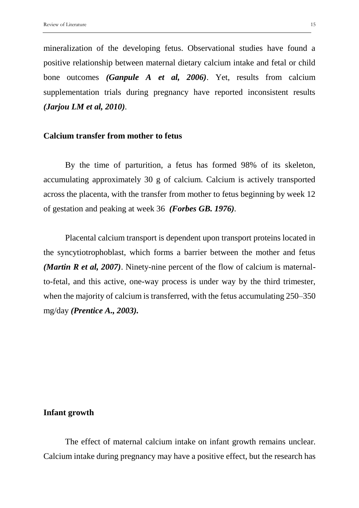mineralization of the developing fetus. Observational studies have found a positive relationship between maternal dietary calcium intake and fetal or child bone outcomes *(Ganpule A et al, 2006)*. Yet, results from calcium supplementation trials during pregnancy have reported inconsistent results *(Jarjou LM et al, 2010).*

# **Calcium transfer from mother to fetus**

By the time of parturition, a fetus has formed 98% of its skeleton, accumulating approximately 30 g of calcium. Calcium is actively transported across the placenta, with the transfer from mother to fetus beginning by week 12 of gestation and peaking at week 36 *(Forbes GB. 1976).*

Placental calcium transport is dependent upon transport proteins located in the syncytiotrophoblast, which forms a barrier between the mother and fetus *(Martin R et al, 2007)*. Ninety-nine percent of the flow of calcium is maternalto-fetal, and this active, one-way process is under way by the third trimester, when the majority of calcium is transferred, with the fetus accumulating 250–350 mg/day *(Prentice A., 2003).* 

#### **Infant growth**

The effect of maternal calcium intake on infant growth remains unclear. Calcium intake during pregnancy may have a positive effect, but the research has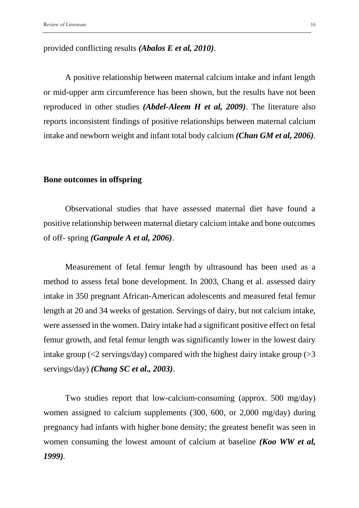# provided conflicting results *(Abalos E et al, 2010).*

A positive relationship between maternal calcium intake and infant length or mid-upper arm circumference has been shown, but the results have not been reproduced in other studies *(Abdel-Aleem H et al, 2009)*. The literature also reports inconsistent findings of positive relationships between maternal calcium intake and newborn weight and infant total body calcium *(Chan GM et al, 2006).*

#### **Bone outcomes in offspring**

Observational studies that have assessed maternal diet have found a positive relationship between maternal dietary calcium intake and bone outcomes of off- spring *(Ganpule A et al, 2006)*.

Measurement of fetal femur length by ultrasound has been used as a method to assess fetal bone development. In 2003, Chang et al. assessed dairy intake in 350 pregnant African-American adolescents and measured fetal femur length at 20 and 34 weeks of gestation. Servings of dairy, but not calcium intake, were assessed in the women. Dairy intake had a significant positive effect on fetal femur growth, and fetal femur length was significantly lower in the lowest dairy intake group ( $\leq$ 2 servings/day) compared with the highest dairy intake group ( $>$ 3 servings/day) *(Chang SC et al., 2003)*.

Two studies report that low-calcium-consuming (approx. 500 mg/day) women assigned to calcium supplements (300, 600, or 2,000 mg/day) during pregnancy had infants with higher bone density; the greatest benefit was seen in women consuming the lowest amount of calcium at baseline *(Koo WW et al, 1999).*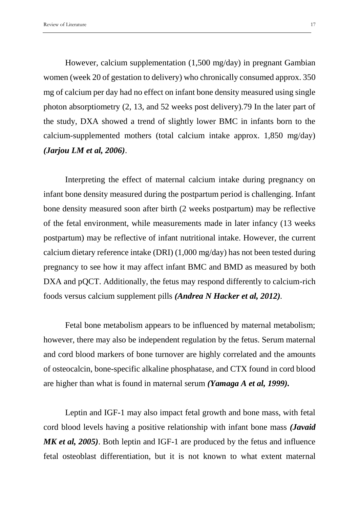However, calcium supplementation (1,500 mg/day) in pregnant Gambian women (week 20 of gestation to delivery) who chronically consumed approx. 350 mg of calcium per day had no effect on infant bone density measured using single photon absorptiometry (2, 13, and 52 weeks post delivery).79 In the later part of the study, DXA showed a trend of slightly lower BMC in infants born to the calcium-supplemented mothers (total calcium intake approx. 1,850 mg/day) *(Jarjou LM et al, 2006)*.

Interpreting the effect of maternal calcium intake during pregnancy on infant bone density measured during the postpartum period is challenging. Infant bone density measured soon after birth (2 weeks postpartum) may be reflective of the fetal environment, while measurements made in later infancy (13 weeks postpartum) may be reflective of infant nutritional intake. However, the current calcium dietary reference intake (DRI) (1,000 mg/day) has not been tested during pregnancy to see how it may affect infant BMC and BMD as measured by both DXA and pQCT. Additionally, the fetus may respond differently to calcium-rich foods versus calcium supplement pills *(Andrea N Hacker et al, 2012).*

Fetal bone metabolism appears to be influenced by maternal metabolism; however, there may also be independent regulation by the fetus. Serum maternal and cord blood markers of bone turnover are highly correlated and the amounts of osteocalcin, bone-specific alkaline phosphatase, and CTX found in cord blood are higher than what is found in maternal serum *(Yamaga A et al, 1999).*

Leptin and IGF-1 may also impact fetal growth and bone mass, with fetal cord blood levels having a positive relationship with infant bone mass *(Javaid MK et al, 2005)*. Both leptin and IGF-1 are produced by the fetus and influence fetal osteoblast differentiation, but it is not known to what extent maternal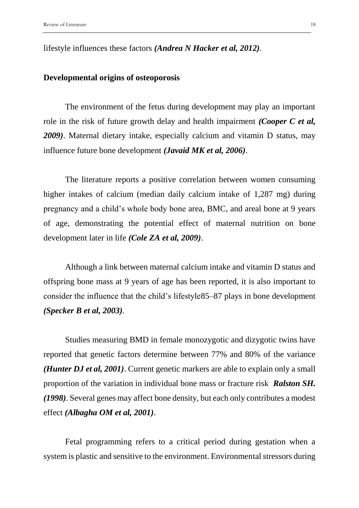lifestyle influences these factors *(Andrea N Hacker et al, 2012).*

## **Developmental origins of osteoporosis**

The environment of the fetus during development may play an important role in the risk of future growth delay and health impairment *(Cooper C et al, 2009)*. Maternal dietary intake, especially calcium and vitamin D status, may influence future bone development *(Javaid MK et al, 2006)*.

The literature reports a positive correlation between women consuming higher intakes of calcium (median daily calcium intake of 1,287 mg) during pregnancy and a child's whole body bone area, BMC, and areal bone at 9 years of age, demonstrating the potential effect of maternal nutrition on bone development later in life *(Cole ZA et al, 2009)*.

Although a link between maternal calcium intake and vitamin D status and offspring bone mass at 9 years of age has been reported, it is also important to consider the influence that the child's lifestyle85–87 plays in bone development *(Specker B et al, 2003).*

Studies measuring BMD in female monozygotic and dizygotic twins have reported that genetic factors determine between 77% and 80% of the variance *(Hunter DJ et al, 2001)*. Current genetic markers are able to explain only a small proportion of the variation in individual bone mass or fracture risk *Ralston SH. (1998)*. Several genes may affect bone density, but each only contributes a modest effect *(Albagha OM et al, 2001)*.

Fetal programming refers to a critical period during gestation when a system is plastic and sensitive to the environment. Environmental stressors during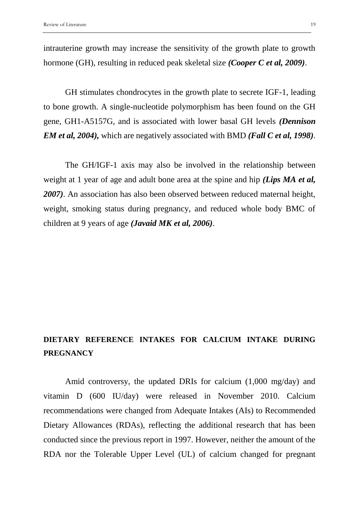intrauterine growth may increase the sensitivity of the growth plate to growth hormone (GH), resulting in reduced peak skeletal size *(Cooper C et al, 2009)*.

GH stimulates chondrocytes in the growth plate to secrete IGF-1, leading to bone growth. A single-nucleotide polymorphism has been found on the GH gene, GH1-A5157G, and is associated with lower basal GH levels *(Dennison EM et al, 2004),* which are negatively associated with BMD *(Fall C et al, 1998).*

The GH/IGF-1 axis may also be involved in the relationship between weight at 1 year of age and adult bone area at the spine and hip *(Lips MA et al, 2007)*. An association has also been observed between reduced maternal height, weight, smoking status during pregnancy, and reduced whole body BMC of children at 9 years of age *(Javaid MK et al, 2006)*.

# **DIETARY REFERENCE INTAKES FOR CALCIUM INTAKE DURING PREGNANCY**

Amid controversy, the updated DRIs for calcium (1,000 mg/day) and vitamin D (600 IU/day) were released in November 2010. Calcium recommendations were changed from Adequate Intakes (AIs) to Recommended Dietary Allowances (RDAs), reflecting the additional research that has been conducted since the previous report in 1997. However, neither the amount of the RDA nor the Tolerable Upper Level (UL) of calcium changed for pregnant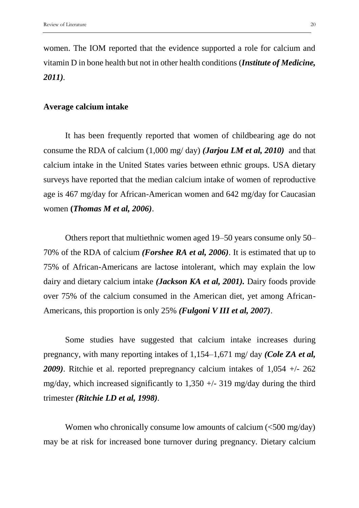women. The IOM reported that the evidence supported a role for calcium and vitamin D in bone health but not in other health conditions (*Institute of Medicine, 2011).*

#### **Average calcium intake**

It has been frequently reported that women of childbearing age do not consume the RDA of calcium (1,000 mg/ day) *(Jarjou LM et al, 2010)* and that calcium intake in the United States varies between ethnic groups. USA dietary surveys have reported that the median calcium intake of women of reproductive age is 467 mg/day for African-American women and 642 mg/day for Caucasian women **(***Thomas M et al, 2006)*.

Others report that multiethnic women aged 19–50 years consume only 50– 70% of the RDA of calcium *(Forshee RA et al, 2006)*. It is estimated that up to 75% of African-Americans are lactose intolerant, which may explain the low dairy and dietary calcium intake *(Jackson KA et al, 2001).* Dairy foods provide over 75% of the calcium consumed in the American diet, yet among African-Americans, this proportion is only 25% *(Fulgoni V III et al, 2007)*.

Some studies have suggested that calcium intake increases during pregnancy, with many reporting intakes of 1,154–1,671 mg/ day *(Cole ZA et al, 2009)*. Ritchie et al. reported prepregnancy calcium intakes of 1,054 +/- 262 mg/day, which increased significantly to  $1,350 +/- 319$  mg/day during the third trimester *(Ritchie LD et al, 1998).*

Women who chronically consume low amounts of calcium  $\langle$  <500 mg/day) may be at risk for increased bone turnover during pregnancy. Dietary calcium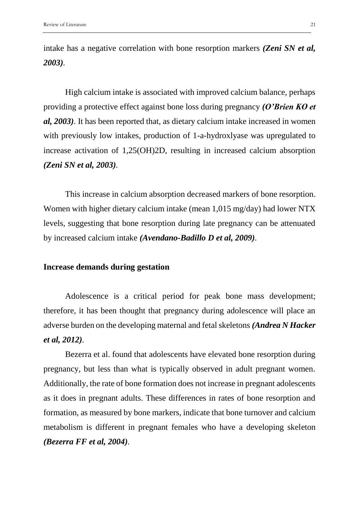intake has a negative correlation with bone resorption markers *(Zeni SN et al, 2003).*

High calcium intake is associated with improved calcium balance, perhaps providing a protective effect against bone loss during pregnancy *(O'Brien KO et al, 2003).* It has been reported that, as dietary calcium intake increased in women with previously low intakes, production of 1-a-hydroxlyase was upregulated to increase activation of 1,25(OH)2D, resulting in increased calcium absorption *(Zeni SN et al, 2003).*

This increase in calcium absorption decreased markers of bone resorption. Women with higher dietary calcium intake (mean 1,015 mg/day) had lower NTX levels, suggesting that bone resorption during late pregnancy can be attenuated by increased calcium intake *(Avendano-Badillo D et al, 2009).*

## **Increase demands during gestation**

Adolescence is a critical period for peak bone mass development; therefore, it has been thought that pregnancy during adolescence will place an adverse burden on the developing maternal and fetal skeletons *(Andrea N Hacker et al, 2012).*

Bezerra et al. found that adolescents have elevated bone resorption during pregnancy, but less than what is typically observed in adult pregnant women. Additionally, the rate of bone formation does not increase in pregnant adolescents as it does in pregnant adults. These differences in rates of bone resorption and formation, as measured by bone markers, indicate that bone turnover and calcium metabolism is different in pregnant females who have a developing skeleton *(Bezerra FF et al, 2004).*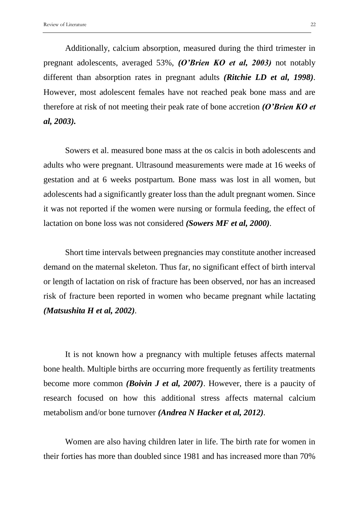Additionally, calcium absorption, measured during the third trimester in pregnant adolescents, averaged 53%, *(O'Brien KO et al, 2003)* not notably different than absorption rates in pregnant adults *(Ritchie LD et al, 1998).* However, most adolescent females have not reached peak bone mass and are therefore at risk of not meeting their peak rate of bone accretion *(O'Brien KO et al, 2003).*

Sowers et al. measured bone mass at the os calcis in both adolescents and adults who were pregnant. Ultrasound measurements were made at 16 weeks of gestation and at 6 weeks postpartum. Bone mass was lost in all women, but adolescents had a significantly greater loss than the adult pregnant women. Since it was not reported if the women were nursing or formula feeding, the effect of lactation on bone loss was not considered *(Sowers MF et al, 2000).*

Short time intervals between pregnancies may constitute another increased demand on the maternal skeleton. Thus far, no significant effect of birth interval or length of lactation on risk of fracture has been observed, nor has an increased risk of fracture been reported in women who became pregnant while lactating *(Matsushita H et al, 2002).* 

It is not known how a pregnancy with multiple fetuses affects maternal bone health. Multiple births are occurring more frequently as fertility treatments become more common *(Boivin J et al, 2007)*. However, there is a paucity of research focused on how this additional stress affects maternal calcium metabolism and/or bone turnover *(Andrea N Hacker et al, 2012).*

Women are also having children later in life. The birth rate for women in their forties has more than doubled since 1981 and has increased more than 70%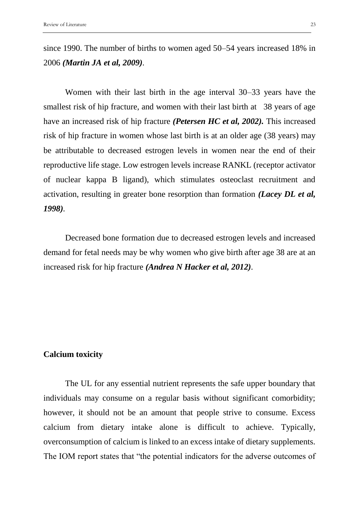since 1990. The number of births to women aged 50–54 years increased 18% in 2006 *(Martin JA et al, 2009).*

Women with their last birth in the age interval 30–33 years have the smallest risk of hip fracture, and women with their last birth at 38 years of age have an increased risk of hip fracture *(Petersen HC et al, 2002).* This increased risk of hip fracture in women whose last birth is at an older age (38 years) may be attributable to decreased estrogen levels in women near the end of their reproductive life stage. Low estrogen levels increase RANKL (receptor activator of nuclear kappa B ligand), which stimulates osteoclast recruitment and activation, resulting in greater bone resorption than formation *(Lacey DL et al, 1998).*

Decreased bone formation due to decreased estrogen levels and increased demand for fetal needs may be why women who give birth after age 38 are at an increased risk for hip fracture *(Andrea N Hacker et al, 2012).*

### **Calcium toxicity**

The UL for any essential nutrient represents the safe upper boundary that individuals may consume on a regular basis without significant comorbidity; however, it should not be an amount that people strive to consume. Excess calcium from dietary intake alone is difficult to achieve. Typically, overconsumption of calcium is linked to an excess intake of dietary supplements. The IOM report states that "the potential indicators for the adverse outcomes of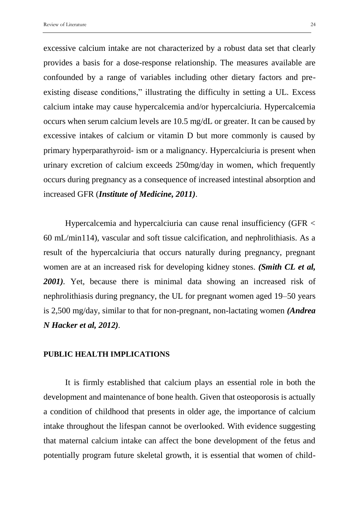excessive calcium intake are not characterized by a robust data set that clearly provides a basis for a dose-response relationship. The measures available are confounded by a range of variables including other dietary factors and preexisting disease conditions," illustrating the difficulty in setting a UL. Excess calcium intake may cause hypercalcemia and/or hypercalciuria. Hypercalcemia occurs when serum calcium levels are 10.5 mg/dL or greater. It can be caused by excessive intakes of calcium or vitamin D but more commonly is caused by primary hyperparathyroid- ism or a malignancy. Hypercalciuria is present when urinary excretion of calcium exceeds 250mg/day in women, which frequently occurs during pregnancy as a consequence of increased intestinal absorption and increased GFR (*Institute of Medicine, 2011).*

Hypercalcemia and hypercalciuria can cause renal insufficiency (GFR < 60 mL/min114), vascular and soft tissue calcification, and nephrolithiasis. As a result of the hypercalciuria that occurs naturally during pregnancy, pregnant women are at an increased risk for developing kidney stones. *(Smith CL et al, 2001).* Yet, because there is minimal data showing an increased risk of nephrolithiasis during pregnancy, the UL for pregnant women aged 19–50 years is 2,500 mg/day, similar to that for non-pregnant, non-lactating women *(Andrea N Hacker et al, 2012).*

#### **PUBLIC HEALTH IMPLICATIONS**

It is firmly established that calcium plays an essential role in both the development and maintenance of bone health. Given that osteoporosis is actually a condition of childhood that presents in older age, the importance of calcium intake throughout the lifespan cannot be overlooked. With evidence suggesting that maternal calcium intake can affect the bone development of the fetus and potentially program future skeletal growth, it is essential that women of child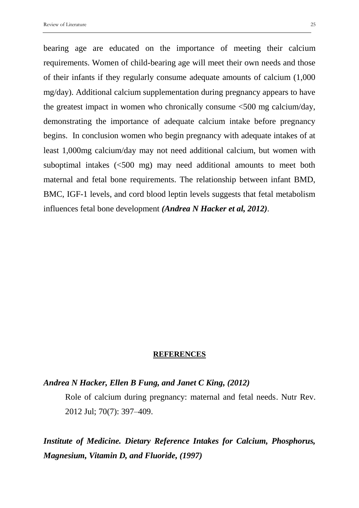bearing age are educated on the importance of meeting their calcium requirements. Women of child-bearing age will meet their own needs and those of their infants if they regularly consume adequate amounts of calcium (1,000 mg/day). Additional calcium supplementation during pregnancy appears to have the greatest impact in women who chronically consume <500 mg calcium/day, demonstrating the importance of adequate calcium intake before pregnancy begins. In conclusion women who begin pregnancy with adequate intakes of at least 1,000mg calcium/day may not need additional calcium, but women with suboptimal intakes (<500 mg) may need additional amounts to meet both maternal and fetal bone requirements. The relationship between infant BMD, BMC, IGF-1 levels, and cord blood leptin levels suggests that fetal metabolism influences fetal bone development *(Andrea N Hacker et al, 2012).*

#### **REFERENCES**

#### *Andrea N Hacker, Ellen B Fung, and Janet C King, (2012)*

Role of calcium during pregnancy: maternal and fetal needs. Nutr Rev. 2012 Jul; 70(7): 397–409.

*Institute of Medicine. Dietary Reference Intakes for Calcium, Phosphorus, Magnesium, Vitamin D, and Fluoride, (1997)*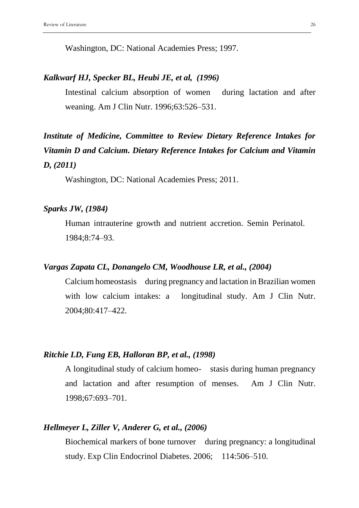Washington, DC: National Academies Press; 1997.

# *Kalkwarf HJ, Specker BL, Heubi JE, et al, (1996)*

Intestinal calcium absorption of women during lactation and after weaning. Am J Clin Nutr. 1996;63:526–531.

# *Institute of Medicine, Committee to Review Dietary Reference Intakes for Vitamin D and Calcium. Dietary Reference Intakes for Calcium and Vitamin D, (2011)*

Washington, DC: National Academies Press; 2011.

# *Sparks JW, (1984)*

Human intrauterine growth and nutrient accretion. Semin Perinatol. 1984;8:74–93.

# *Vargas Zapata CL, Donangelo CM, Woodhouse LR, et al., (2004)*

Calcium homeostasis during pregnancy and lactation in Brazilian women with low calcium intakes: a longitudinal study. Am J Clin Nutr. 2004;80:417–422.

### *Ritchie LD, Fung EB, Halloran BP, et al., (1998)*

A longitudinal study of calcium homeo- stasis during human pregnancy and lactation and after resumption of menses. Am J Clin Nutr. 1998;67:693–701.

## *Hellmeyer L, Ziller V, Anderer G, et al., (2006)*

Biochemical markers of bone turnover during pregnancy: a longitudinal study. Exp Clin Endocrinol Diabetes. 2006; 114:506–510.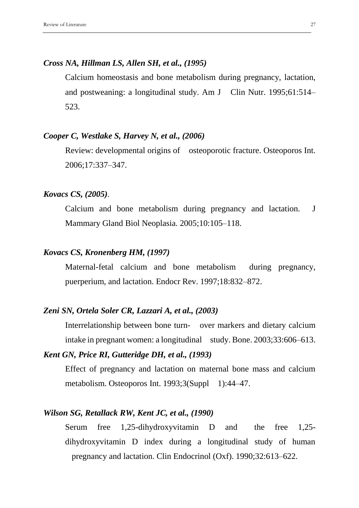# *Cross NA, Hillman LS, Allen SH, et al., (1995)*

Calcium homeostasis and bone metabolism during pregnancy, lactation, and postweaning: a longitudinal study. Am J Clin Nutr. 1995;61:514– 523.

# *Cooper C, Westlake S, Harvey N, et al., (2006)*

Review: developmental origins of osteoporotic fracture. Osteoporos Int. 2006;17:337–347.

## *Kovacs CS, (2005).*

Calcium and bone metabolism during pregnancy and lactation. J Mammary Gland Biol Neoplasia. 2005;10:105–118.

# *Kovacs CS, Kronenberg HM, (1997)*

Maternal-fetal calcium and bone metabolism during pregnancy, puerperium, and lactation. Endocr Rev. 1997;18:832–872.

# *Zeni SN, Ortela Soler CR, Lazzari A, et al., (2003)*

Interrelationship between bone turn- over markers and dietary calcium intake in pregnant women: a longitudinal study. Bone. 2003;33:606–613.

# *Kent GN, Price RI, Gutteridge DH, et al., (1993)*

Effect of pregnancy and lactation on maternal bone mass and calcium metabolism. Osteoporos Int. 1993;3(Suppl 1):44–47.

# *Wilson SG, Retallack RW, Kent JC, et al., (1990)*

Serum free 1,25-dihydroxyvitamin D and the free 1,25 dihydroxyvitamin D index during a longitudinal study of human pregnancy and lactation. Clin Endocrinol (Oxf). 1990;32:613–622.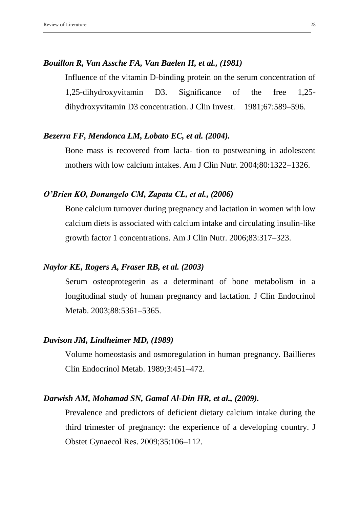# *Bouillon R, Van Assche FA, Van Baelen H, et al., (1981)*

Influence of the vitamin D-binding protein on the serum concentration of 1,25-dihydroxyvitamin D3. Significance of the free 1,25 dihydroxyvitamin D3 concentration. J Clin Invest. 1981;67:589–596.

# *Bezerra FF, Mendonca LM, Lobato EC, et al. (2004).*

Bone mass is recovered from lacta- tion to postweaning in adolescent mothers with low calcium intakes. Am J Clin Nutr. 2004;80:1322–1326.

# *O'Brien KO, Donangelo CM, Zapata CL, et al., (2006)*

Bone calcium turnover during pregnancy and lactation in women with low calcium diets is associated with calcium intake and circulating insulin-like growth factor 1 concentrations. Am J Clin Nutr. 2006;83:317–323.

# *Naylor KE, Rogers A, Fraser RB, et al. (2003)*

Serum osteoprotegerin as a determinant of bone metabolism in a longitudinal study of human pregnancy and lactation. J Clin Endocrinol Metab. 2003;88:5361–5365.

# *Davison JM, Lindheimer MD, (1989)*

Volume homeostasis and osmoregulation in human pregnancy. Baillieres Clin Endocrinol Metab. 1989;3:451–472.

## *Darwish AM, Mohamad SN, Gamal Al-Din HR, et al., (2009).*

Prevalence and predictors of deficient dietary calcium intake during the third trimester of pregnancy: the experience of a developing country. J Obstet Gynaecol Res. 2009;35:106–112.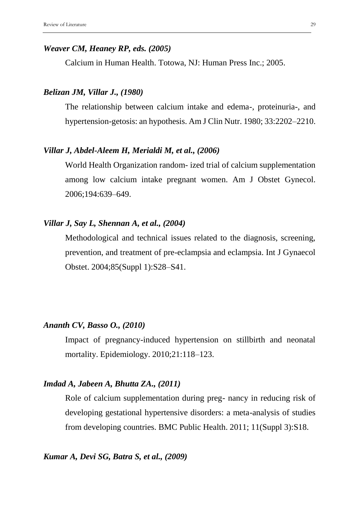#### *Weaver CM, Heaney RP, eds. (2005)*

Calcium in Human Health. Totowa, NJ: Human Press Inc.; 2005.

## *Belizan JM, Villar J., (1980)*

The relationship between calcium intake and edema-, proteinuria-, and hypertension-getosis: an hypothesis. Am J Clin Nutr. 1980; 33:2202–2210.

## *Villar J, Abdel-Aleem H, Merialdi M, et al., (2006)*

World Health Organization random- ized trial of calcium supplementation among low calcium intake pregnant women. Am J Obstet Gynecol. 2006;194:639–649.

# *Villar J, Say L, Shennan A, et al., (2004)*

Methodological and technical issues related to the diagnosis, screening, prevention, and treatment of pre-eclampsia and eclampsia. Int J Gynaecol Obstet. 2004;85(Suppl 1):S28–S41.

# *Ananth CV, Basso O., (2010)*

Impact of pregnancy-induced hypertension on stillbirth and neonatal mortality. Epidemiology. 2010;21:118–123.

## *Imdad A, Jabeen A, Bhutta ZA., (2011)*

Role of calcium supplementation during preg- nancy in reducing risk of developing gestational hypertensive disorders: a meta-analysis of studies from developing countries. BMC Public Health. 2011; 11(Suppl 3):S18.

## *Kumar A, Devi SG, Batra S, et al., (2009)*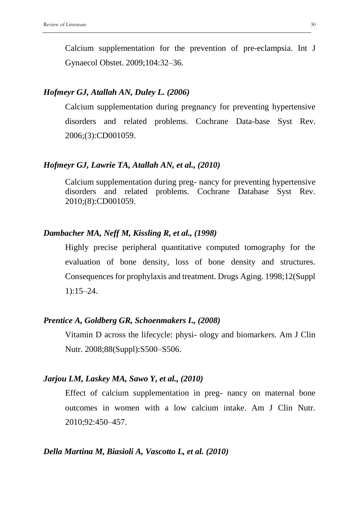Calcium supplementation for the prevention of pre-eclampsia. Int J Gynaecol Obstet. 2009;104:32–36.

# *Hofmeyr GJ, Atallah AN, Duley L. (2006)*

Calcium supplementation during pregnancy for preventing hypertensive disorders and related problems. Cochrane Data-base Syst Rev. 2006;(3):CD001059.

## *Hofmeyr GJ, Lawrie TA, Atallah AN, et al., (2010)*

Calcium supplementation during preg- nancy for preventing hypertensive disorders and related problems. Cochrane Database Syst Rev. 2010;(8):CD001059.

## *Dambacher MA, Neff M, Kissling R, et al., (1998)*

Highly precise peripheral quantitative computed tomography for the evaluation of bone density, loss of bone density and structures. Consequences for prophylaxis and treatment. Drugs Aging. 1998;12(Suppl 1):15–24.

# *Prentice A, Goldberg GR, Schoenmakers I., (2008)*

Vitamin D across the lifecycle: physi- ology and biomarkers. Am J Clin Nutr. 2008;88(Suppl):S500–S506.

## *Jarjou LM, Laskey MA, Sawo Y, et al., (2010)*

Effect of calcium supplementation in preg- nancy on maternal bone outcomes in women with a low calcium intake. Am J Clin Nutr. 2010;92:450–457.

#### *Della Martina M, Biasioli A, Vascotto L, et al. (2010)*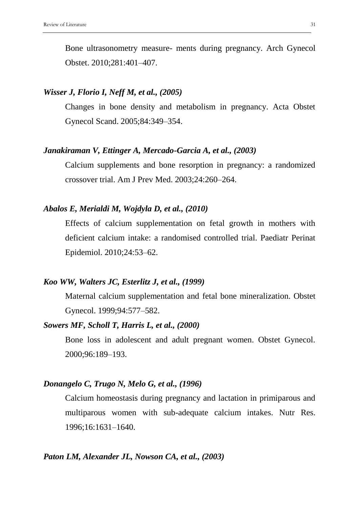Bone ultrasonometry measure- ments during pregnancy. Arch Gynecol Obstet. 2010;281:401–407.

## *Wisser J, Florio I, Neff M, et al., (2005)*

Changes in bone density and metabolism in pregnancy. Acta Obstet Gynecol Scand. 2005;84:349–354.

## *Janakiraman V, Ettinger A, Mercado-Garcia A, et al., (2003)*

Calcium supplements and bone resorption in pregnancy: a randomized crossover trial. Am J Prev Med. 2003;24:260–264.

# *Abalos E, Merialdi M, Wojdyla D, et al., (2010)*

Effects of calcium supplementation on fetal growth in mothers with deficient calcium intake: a randomised controlled trial. Paediatr Perinat Epidemiol. 2010;24:53–62.

#### *Koo WW, Walters JC, Esterlitz J, et al., (1999)*

Maternal calcium supplementation and fetal bone mineralization. Obstet Gynecol. 1999;94:577–582.

#### *Sowers MF, Scholl T, Harris L, et al., (2000)*

Bone loss in adolescent and adult pregnant women. Obstet Gynecol. 2000;96:189–193.

#### *Donangelo C, Trugo N, Melo G, et al., (1996)*

Calcium homeostasis during pregnancy and lactation in primiparous and multiparous women with sub-adequate calcium intakes. Nutr Res. 1996;16:1631–1640.

## *Paton LM, Alexander JL, Nowson CA, et al., (2003)*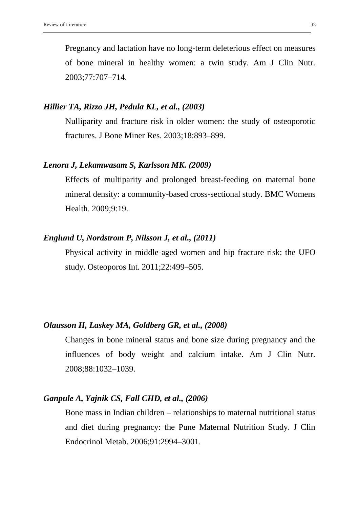Pregnancy and lactation have no long-term deleterious effect on measures of bone mineral in healthy women: a twin study. Am J Clin Nutr. 2003;77:707–714.

## *Hillier TA, Rizzo JH, Pedula KL, et al., (2003)*

Nulliparity and fracture risk in older women: the study of osteoporotic fractures. J Bone Miner Res. 2003;18:893–899.

## *Lenora J, Lekamwasam S, Karlsson MK. (2009)*

Effects of multiparity and prolonged breast-feeding on maternal bone mineral density: a community-based cross-sectional study. BMC Womens Health. 2009;9:19.

# *Englund U, Nordstrom P, Nilsson J, et al., (2011)*

Physical activity in middle-aged women and hip fracture risk: the UFO study. Osteoporos Int. 2011;22:499–505.

# *Olausson H, Laskey MA, Goldberg GR, et al., (2008)*

Changes in bone mineral status and bone size during pregnancy and the influences of body weight and calcium intake. Am J Clin Nutr. 2008;88:1032–1039.

# *Ganpule A, Yajnik CS, Fall CHD, et al., (2006)*

Bone mass in Indian children – relationships to maternal nutritional status and diet during pregnancy: the Pune Maternal Nutrition Study. J Clin Endocrinol Metab. 2006;91:2994–3001.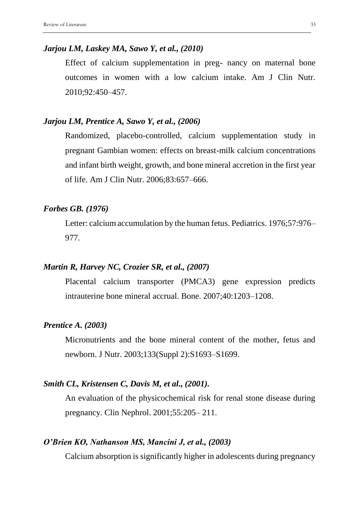## *Jarjou LM, Laskey MA, Sawo Y, et al., (2010)*

Effect of calcium supplementation in preg- nancy on maternal bone outcomes in women with a low calcium intake. Am J Clin Nutr. 2010;92:450–457.

## *Jarjou LM, Prentice A, Sawo Y, et al., (2006)*

Randomized, placebo-controlled, calcium supplementation study in pregnant Gambian women: effects on breast-milk calcium concentrations and infant birth weight, growth, and bone mineral accretion in the first year of life. Am J Clin Nutr. 2006;83:657–666.

# *Forbes GB. (1976)*

Letter: calcium accumulation by the human fetus. Pediatrics. 1976;57:976– 977.

# *Martin R, Harvey NC, Crozier SR, et al., (2007)*

Placental calcium transporter (PMCA3) gene expression predicts intrauterine bone mineral accrual. Bone. 2007;40:1203–1208.

## *Prentice A. (2003)*

Micronutrients and the bone mineral content of the mother, fetus and newborn. J Nutr. 2003;133(Suppl 2):S1693–S1699.

# *Smith CL, Kristensen C, Davis M, et al., (2001).*

An evaluation of the physicochemical risk for renal stone disease during pregnancy. Clin Nephrol. 2001;55:205– 211.

## *O'Brien KO, Nathanson MS, Mancini J, et al., (2003)*

Calcium absorption is significantly higher in adolescents during pregnancy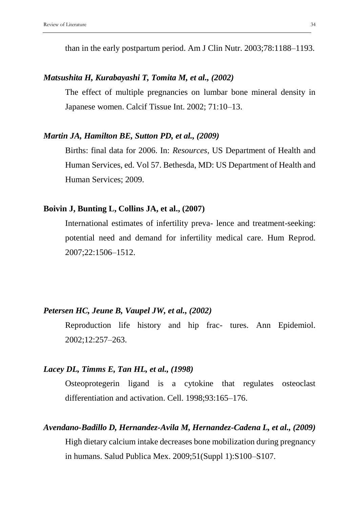than in the early postpartum period. Am J Clin Nutr. 2003;78:1188–1193.

# *Matsushita H, Kurabayashi T, Tomita M, et al., (2002)*

The effect of multiple pregnancies on lumbar bone mineral density in Japanese women. Calcif Tissue Int. 2002; 71:10–13.

# *Martin JA, Hamilton BE, Sutton PD, et al., (2009)*

Births: final data for 2006. In: *Resources*, US Department of Health and Human Services, ed. Vol 57. Bethesda, MD: US Department of Health and Human Services; 2009.

# **Boivin J, Bunting L, Collins JA, et al., (2007)**

International estimates of infertility preva- lence and treatment-seeking: potential need and demand for infertility medical care. Hum Reprod. 2007;22:1506–1512.

# *Petersen HC, Jeune B, Vaupel JW, et al., (2002)*

Reproduction life history and hip frac- tures. Ann Epidemiol. 2002;12:257–263.

## *Lacey DL, Timms E, Tan HL, et al., (1998)*

Osteoprotegerin ligand is a cytokine that regulates osteoclast differentiation and activation. Cell. 1998;93:165–176.

## *Avendano-Badillo D, Hernandez-Avila M, Hernandez-Cadena L, et al., (2009)*

High dietary calcium intake decreases bone mobilization during pregnancy in humans. Salud Publica Mex. 2009;51(Suppl 1):S100–S107.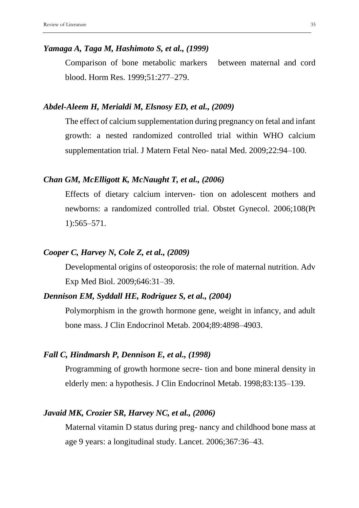#### *Yamaga A, Taga M, Hashimoto S, et al., (1999)*

Comparison of bone metabolic markers between maternal and cord blood. Horm Res. 1999;51:277–279.

#### *Abdel-Aleem H, Merialdi M, Elsnosy ED, et al., (2009)*

The effect of calcium supplementation during pregnancy on fetal and infant growth: a nested randomized controlled trial within WHO calcium supplementation trial. J Matern Fetal Neo- natal Med. 2009;22:94–100.

# *Chan GM, McElligott K, McNaught T, et al., (2006)*

Effects of dietary calcium interven- tion on adolescent mothers and newborns: a randomized controlled trial. Obstet Gynecol. 2006;108(Pt 1):565–571.

# *Cooper C, Harvey N, Cole Z, et al., (2009)*

Developmental origins of osteoporosis: the role of maternal nutrition. Adv Exp Med Biol. 2009;646:31–39.

# *Dennison EM, Syddall HE, Rodriguez S, et al., (2004)*

Polymorphism in the growth hormone gene, weight in infancy, and adult bone mass. J Clin Endocrinol Metab. 2004;89:4898–4903.

# *Fall C, Hindmarsh P, Dennison E, et al., (1998)*

Programming of growth hormone secre- tion and bone mineral density in elderly men: a hypothesis. J Clin Endocrinol Metab. 1998;83:135–139.

# *Javaid MK, Crozier SR, Harvey NC, et al., (2006)*

Maternal vitamin D status during preg- nancy and childhood bone mass at age 9 years: a longitudinal study. Lancet. 2006;367:36–43.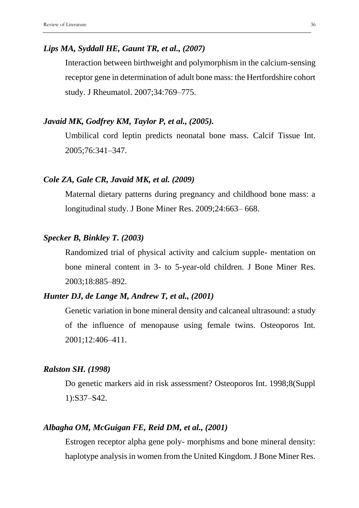## *Lips MA, Syddall HE, Gaunt TR, et al., (2007)*

Interaction between birthweight and polymorphism in the calcium-sensing receptor gene in determination of adult bone mass: the Hertfordshire cohort study. J Rheumatol. 2007;34:769–775.

# *Javaid MK, Godfrey KM, Taylor P, et al., (2005).*

Umbilical cord leptin predicts neonatal bone mass. Calcif Tissue Int. 2005;76:341–347.

# *Cole ZA, Gale CR, Javaid MK, et al. (2009)*

Maternal dietary patterns during pregnancy and childhood bone mass: a longitudinal study. J Bone Miner Res. 2009;24:663– 668.

# *Specker B, Binkley T. (2003)*

Randomized trial of physical activity and calcium supple- mentation on bone mineral content in 3- to 5-year-old children. J Bone Miner Res. 2003;18:885–892.

# *Hunter DJ, de Lange M, Andrew T, et al., (2001)*

Genetic variation in bone mineral density and calcaneal ultrasound: a study of the influence of menopause using female twins. Osteoporos Int. 2001;12:406–411.

# *Ralston SH. (1998)*

Do genetic markers aid in risk assessment? Osteoporos Int. 1998;8(Suppl 1):S37–S42.

# *Albagha OM, McGuigan FE, Reid DM, et al., (2001)*

Estrogen receptor alpha gene poly- morphisms and bone mineral density: haplotype analysis in women from the United Kingdom. J Bone Miner Res.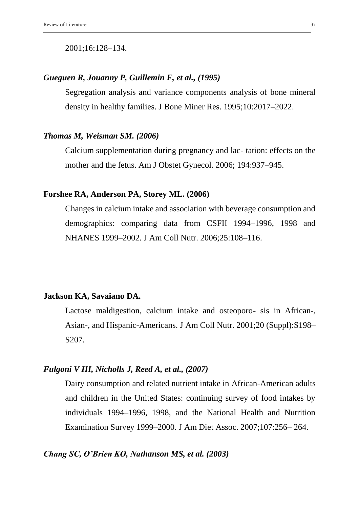#### 2001;16:128–134.

# *Gueguen R, Jouanny P, Guillemin F, et al., (1995)*

Segregation analysis and variance components analysis of bone mineral density in healthy families. J Bone Miner Res. 1995;10:2017–2022.

## *Thomas M, Weisman SM. (2006)*

Calcium supplementation during pregnancy and lac- tation: effects on the mother and the fetus. Am J Obstet Gynecol. 2006; 194:937–945.

#### **Forshee RA, Anderson PA, Storey ML. (2006)**

Changes in calcium intake and association with beverage consumption and demographics: comparing data from CSFII 1994–1996, 1998 and NHANES 1999–2002. J Am Coll Nutr. 2006;25:108–116.

# **Jackson KA, Savaiano DA.**

Lactose maldigestion, calcium intake and osteoporo- sis in African-, Asian-, and Hispanic-Americans. J Am Coll Nutr. 2001;20 (Suppl):S198– S207.

# *Fulgoni V III, Nicholls J, Reed A, et al., (2007)*

Dairy consumption and related nutrient intake in African-American adults and children in the United States: continuing survey of food intakes by individuals 1994–1996, 1998, and the National Health and Nutrition Examination Survey 1999–2000. J Am Diet Assoc. 2007;107:256– 264.

# *Chang SC, O'Brien KO, Nathanson MS, et al. (2003)*